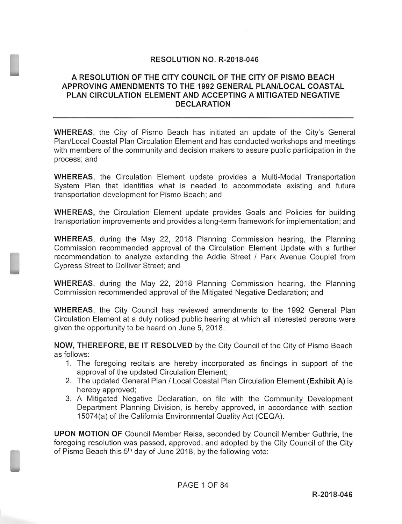## **RESOLUTION NO. R-2018-046**

## A RESOLUTION OF THE CITY COUNCIL OF THE CITY OF PISMO BEACH APPROVING AMENDMENTS TO THE 1992 GENERAL PLAN/LOCAL COASTAL PLAN CIRCULATION ELEMENT AND ACCEPTING A MITIGATED NEGATIVE DECLARATION

WHEREAS, the City of Pismo Beach has initiated an update of the City's General Plan/Local Coastal Plan Circulation Element and has conducted workshops and meetings with members of the community and decision makers to assure public participation in the process; and

WHEREAS, the Circulation Element update provides a Multi-Modal Transportation System Plan that identifies what is needed to accommodate existing and future transportation development for Pismo Beach; and

WHEREAS, the Circulation Element update provides Goals and Policies for building transportation improvements and provides a long- term framework for implementation; and

WHEREAS, during the May 22, 2018 Planning Commission hearing, the Planning Commission recommended approval of the Circulation Element Update with a further recommendation to analyze extending the Addie Street / Park Avenue Couplet from Cypress Street to Dolliver Street; and

WHEREAS, during the May 22, 2018 Planning Commission hearing, the Planning Commission recommended approval of the Mitigated Negative Declaration; and

WHEREAS, the City Council has reviewed amendments to the 1992 General Plan Circulation Element at a duly noticed public hearing at which all interested persons were given the opportunity to be heard on June 5, 2018.

NOW, THEREFORE, BE IT RESOLVED by the City Council of the City of Pismo Beach as follows:

- 1. The foregoing recitals are hereby incorporated as findings in support of the approval of the updated Circulation Element;
- 2. The updated General Plan / Local Coastal Plan Circulation Element (Exhibit A) is hereby approved;
- 3. A Mitigated Negative Declaration, on file with the Community Development Department Planning Division, is hereby approved, in accordance with section 15074(a) of the California Environmental Quality Act (CEQA).

UPON MOTION OF Council Member Reiss, seconded by Council Member Guthrie, the foregoing resolution was passed, approved, and adopted by the City Council of the City of Pismo Beach this 5<sup>th</sup> day of June 2018, by the following vote: